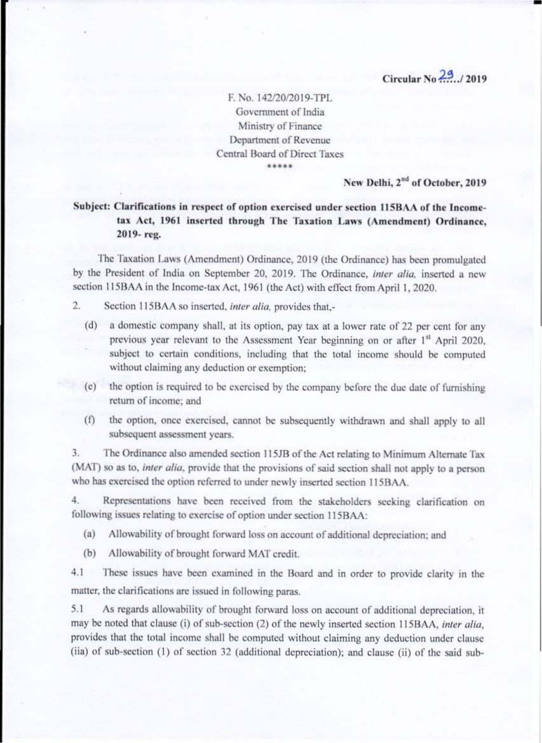Circular No 29 / 2019

F. No. 142/20/2019-TPL Government of India Ministry of Finance Department of Revenue Central Board of Direct Taxes \*\*\*\*\*

## New Delhi, 2<sup>nd</sup> of October, 2019

## Subject: Clarifications in respect of option exercised under section 115BAA of the Incometax Act, 1961 inserted through The Taxation Laws (Amendment) Ordinance, 2019-reg.

The Taxation Laws (Amendment) Ordinance, 2019 (the Ordinance) has been promulgated by the President of India on September 20, 2019. The Ordinance, inter alia, inserted a new section 115BAA in the Income-tax Act, 1961 (the Act) with effect from April 1, 2020.

- 2. Section 115BAA so inserted, *inter alia*, provides that,
	- a domestic company shall, at its option, pay tax at a lower rate of 22 per cent for any  $(d)$ previous year relevant to the Assessment Year beginning on or after 1<sup>st</sup> April 2020, subject to certain conditions, including that the total income should be computed without claiming any deduction or exemption;
	- the option is required to be exercised by the company before the due date of furnishing  $(e)$ return of income; and
	- the option, once exercised, cannot be subsequently withdrawn and shall apply to all  $(f)$ subsequent assessment years.

The Ordinance also amended section 115JB of the Act relating to Minimum Alternate Tax 3. (MAT) so as to, inter alia, provide that the provisions of said section shall not apply to a person who has exercised the option referred to under newly inserted section 115BAA.

4. Representations have been received from the stakeholders seeking clarification on following issues relating to exercise of option under section 115BAA:

- Allowability of brought forward loss on account of additional depreciation; and  $(a)$
- Allowability of brought forward MAT credit.  $(b)$

These issues have been examined in the Board and in order to provide clarity in the  $4.1$ matter, the clarifications are issued in following paras.

5.1 As regards allowability of brought forward loss on account of additional depreciation, it may be noted that clause (i) of sub-section (2) of the newly inserted section 115BAA, inter alia, provides that the total income shall be computed without claiming any deduction under clause (iia) of sub-section (1) of section 32 (additional depreciation); and clause (ii) of the said sub